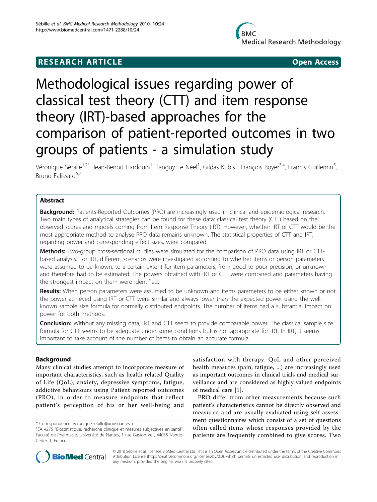## **RESEARCH ARTICLE Example 2018 12:00 Department of the Contract Open Access**

# Methodological issues regarding power of classical test theory (CTT) and item response theory (IRT)-based approaches for the comparison of patient-reported outcomes in two groups of patients - a simulation study

Véronique Sébille<sup>1,2\*</sup>, Jean-Benoit Hardouin<sup>1</sup>, Tanguy Le Néel<sup>1</sup>, Gildas Kubis<sup>1</sup>, François Boyer<sup>3,4</sup>, Francis Guillemin<sup>5</sup> , Bruno Falissard<sup>6,7</sup>

## Abstract

**Background:** Patients-Reported Outcomes (PRO) are increasingly used in clinical and epidemiological research. Two main types of analytical strategies can be found for these data: classical test theory (CTT) based on the observed scores and models coming from Item Response Theory (IRT). However, whether IRT or CTT would be the most appropriate method to analyse PRO data remains unknown. The statistical properties of CTT and IRT, regarding power and corresponding effect sizes, were compared.

Methods: Two-group cross-sectional studies were simulated for the comparison of PRO data using IRT or CTTbased analysis. For IRT, different scenarios were investigated according to whether items or person parameters were assumed to be known, to a certain extent for item parameters, from good to poor precision, or unknown and therefore had to be estimated. The powers obtained with IRT or CTT were compared and parameters having the strongest impact on them were identified.

Results: When person parameters were assumed to be unknown and items parameters to be either known or not, the power achieved using IRT or CTT were similar and always lower than the expected power using the wellknown sample size formula for normally distributed endpoints. The number of items had a substantial impact on power for both methods.

Conclusion: Without any missing data, IRT and CTT seem to provide comparable power. The classical sample size formula for CTT seems to be adequate under some conditions but is not appropriate for IRT. In IRT, it seems important to take account of the number of items to obtain an accurate formula.

## Background

Many clinical studies attempt to incorporate measure of important characteristics, such as health related Quality of Life (QoL), anxiety, depressive symptoms, fatigue, addictive behaviours using Patient reported outcomes (PRO), in order to measure endpoints that reflect patient's perception of his or her well-being and satisfaction with therapy. QoL and other perceived health measures (pain, fatigue, ...) are increasingly used as important outcomes in clinical trials and medical surveillance and are considered as highly valued endpoints of medical care [[1\]](#page-8-0).

PRO differ from other measurements because such patient's characteristics cannot be directly observed and measured and are usually evaluated using self-assessment questionnaires which consist of a set of questions often called items whose responses provided by the patients are frequently combined to give scores. Two



© 2010 Sébille et al; licensee BioMed Central Ltd. This is an Open Access article distributed under the terms of the Creative Commons Attribution License [\(http://creativecommons.org/licenses/by/2.0](http://creativecommons.org/licenses/by/2.0)), which permits unrestricted use, distribution, and reproduction in any medium, provided the original work is properly cited.

<sup>\*</sup> Correspondence: [veronique.sebille@univ-nantes.fr](mailto:veronique.sebille@univ-nantes.fr)

<sup>&</sup>lt;sup>1</sup>EA 4275 "Biostatistique, recherche clinique et mesures subjectives en santé", Faculté de Pharmacie, Université de Nantes, 1 rue Gaston Veil, 44035 Nantes Cedex 1, France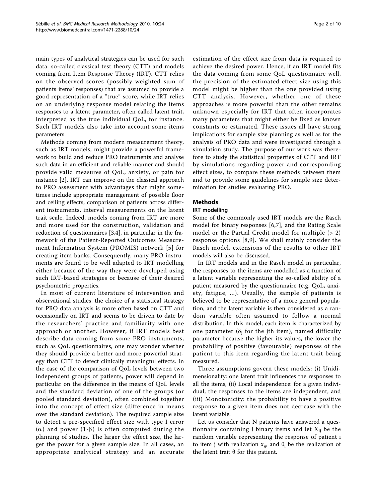main types of analytical strategies can be used for such data: so-called classical test theory (CTT) and models coming from Item Response Theory (IRT). CTT relies on the observed scores (possibly weighted sum of patients items' responses) that are assumed to provide a good representation of a "true" score, while IRT relies on an underlying response model relating the items responses to a latent parameter, often called latent trait, interpreted as the true individual QoL, for instance. Such IRT models also take into account some items parameters.

Methods coming from modern measurement theory, such as IRT models, might provide a powerful framework to build and reduce PRO instruments and analyse such data in an efficient and reliable manner and should provide valid measures of QoL, anxiety, or pain for instance [\[2](#page-8-0)]. IRT can improve on the classical approach to PRO assessment with advantages that might sometimes include appropriate management of possible floor and ceiling effects, comparison of patients across different instruments, interval measurements on the latent trait scale. Indeed, models coming from IRT are more and more used for the construction, validation and reduction of questionnaires [\[3](#page-8-0)[,4](#page-9-0)], in particular in the framework of the Patient-Reported Outcomes Measurement Information System (PROMIS) network [[5](#page-9-0)] for creating item banks. Consequently, many PRO instruments are found to be well adapted to IRT modelling either because of the way they were developed using such IRT-based strategies or because of their desired psychometric properties.

In most of current literature of intervention and observational studies, the choice of a statistical strategy for PRO data analysis is more often based on CTT and occasionally on IRT and seems to be driven to date by the researchers' practice and familiarity with one approach or another. However, if IRT models best describe data coming from some PRO instruments, such as QoL questionnaires, one may wonder whether they should provide a better and more powerful strategy than CTT to detect clinically meaningful effects. In the case of the comparison of QoL levels between two independent groups of patients, power will depend in particular on the difference in the means of QoL levels and the standard deviation of one of the groups (or pooled standard deviation), often combined together into the concept of effect size (difference in means over the standard deviation). The required sample size to detect a pre-specified effect size with type I error (α) and power (1-β) is often computed during the planning of studies. The larger the effect size, the larger the power for a given sample size. In all cases, an appropriate analytical strategy and an accurate estimation of the effect size from data is required to achieve the desired power. Hence, if an IRT model fits the data coming from some QoL questionnaire well, the precision of the estimated effect size using this model might be higher than the one provided using CTT analysis. However, whether one of these approaches is more powerful than the other remains unknown especially for IRT that often incorporates many parameters that might either be fixed as known constants or estimated. These issues all have strong implications for sample size planning as well as for the analysis of PRO data and were investigated through a simulation study. The purpose of our work was therefore to study the statistical properties of CTT and IRT by simulations regarding power and corresponding effect sizes, to compare these methods between them and to provide some guidelines for sample size determination for studies evaluating PRO.

## Methods

#### IRT modelling

Some of the commonly used IRT models are the Rasch model for binary responses [[6,7](#page-9-0)], and the Rating Scale model or the Partial Credit model for multiple (> 2) response options [\[8,9](#page-9-0)]. We shall mainly consider the Rasch model, extensions of the results to other IRT models will also be discussed.

In IRT models and in the Rasch model in particular, the responses to the items are modelled as a function of a latent variable representing the so-called ability of a patient measured by the questionnaire (e.g. QoL, anxiety, fatigue, ...). Usually, the sample of patients is believed to be representative of a more general population, and the latent variable is then considered as a random variable often assumed to follow a normal distribution. In this model, each item is characterized by one parameter ( $\delta_j$  for the jth item), named difficulty parameter because the higher its values, the lower the probability of positive (favourable) responses of the patient to this item regarding the latent trait being measured.

Three assumptions govern these models: (i) Unidimensionality: one latent trait influences the responses to all the items, (ii) Local independence: for a given individual, the responses to the items are independent, and (iii) Monotonicity: the probability to have a positive response to a given item does not decrease with the latent variable.

Let us consider that N patients have answered a questionnaire containing J binary items and let  $X_{ii}$  be the random variable representing the response of patient i to item j with realization  $x_{ij}$ , and  $\theta_i$  be the realization of the latent trait  $θ$  for this patient.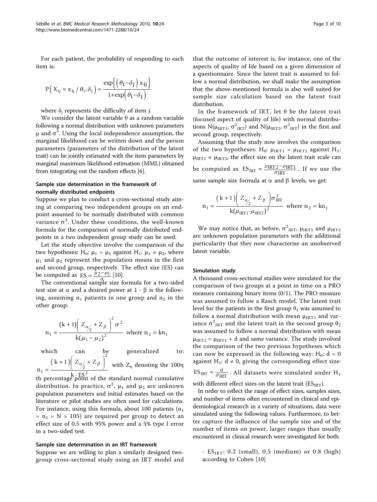For each patient, the probability of responding to each item is:

$$
P(X_{ij} = x_{ij} / \theta_i, \delta_j) = \frac{\exp\left\{(\theta_i - \delta_j) x_{ij}\right\}}{1 + \exp(\theta_i - \delta_j)}
$$

where  $\delta_i$  represents the difficulty of item j.

We consider the latent variable  $\theta$  as a random variable following a normal distribution with unknown parameters μ and  $\sigma^2$ . Using the local independence assumption, the marginal likelihood can be written down and the person parameters (parameters of the distribution of the latent trait) can be jointly estimated with the item parameters by marginal maximum likelihood estimation (MML) obtained from integrating out the random effects [\[6](#page-9-0)].

## Sample size determination in the framework of normally distributed endpoints

Suppose we plan to conduct a cross-sectional study aiming at comparing two independent groups on an endpoint assumed to be normally distributed with common variance  $\sigma^2$ . Under these conditions, the well-known formula for the comparison of normally distributed endpoints in a two independent group study can be used.

Let the study objective involve the comparison of the two hypotheses: H<sub>0</sub>: μ<sub>1</sub> = μ<sub>2</sub> against H<sub>1</sub>: μ<sub>1</sub> ≠ μ<sub>2</sub>, where  $\mu_1$  and  $\mu_2$  represent the population means in the first and second group, respectively. The effect size (ES) can be computed as  $ES = \frac{\mu_2 - \mu_1}{\tau}$  [[10\]](#page-9-0).

The conventional sample size formula for a two-sided test size at  $\alpha$  and a desired power at  $1 - \beta$  is the following, assuming  $n_1$  patients in one group and  $n_2$  in the other group:

$$
n_1 = \frac{(k+1)\left(Z_{\alpha/2} + Z_{\beta}\right)^2 \sigma^2}{k(\mu_1 - \mu_2)^2}
$$
 where  $n_2 = kn_1$ 

which can be generalized to: n  $k+1$ |  $Z_{\alpha}$  + Z  $\frac{1}{1} = \frac{1}{2}$ 2 2 1  $=$  $(k+1)\left( Z_{\alpha/2}+Z_{\beta}\right)$  $\ddot{\cdot}$  $\alpha/2$ <sup>+  $\Delta \beta$ </sup> | with  $Z_n$  denoting the 100 $\eta$ 

th percentage point of the standard normal cumulative distribution. In practice,  $\sigma^2$ ,  $\mu_1$  and  $\mu_2$  are unknown population parameters and initial estimates based on the literature or pilot studies are often used for calculations. For instance, using this formula, about 100 patients  $(n_1)$  $=$  n<sub>2</sub> = N = 105) are required per group to detect an effect size of 0.5 with 95% power and a 5% type I error in a two-sided test.

#### Sample size determination in an IRT framework

Suppose we are willing to plan a similarly designed twogroup cross-sectional study using an IRT model and

that the outcome of interest is, for instance, one of the aspects of quality of life based on a given dimension of a questionnaire. Since the latent trait is assumed to follow a normal distribution, we shall make the assumption that the above-mentioned formula is also well suited for sample size calculation based on the latent trait distribution.

In the framework of IRT, let  $\theta$  be the latent trait (focused aspect of quality of life) with normal distributions  $N(\mu_{IRT1}, \sigma^2_{IRT})$  and  $N(\mu_{IRT2}, \sigma^2_{IRT})$  in the first and second group, respectively.

Assuming that the study now involves the comparison of the two hypotheses:  $H_0$ :  $\mu_{IRT1} = \mu_{IRT2}$  against  $H_1$ :  $\mu_{\text{IRT1}} \neq \mu_{\text{IRT2}}$ , the effect size on the latent trait scale can be computed as  $ES_{IRT} = \frac{\mu_{IRT2} - \mu_{IRT1}}{\sigma_{IRT}}$ . If we use the same sample size formula at  $\alpha$  and  $\beta$  levels, we get:

$$
n_1 = \frac{(k+1)\left(Z_{\alpha/2} + Z_{\beta}\right)\sigma_{\text{IRT}}^2}{k(\mu_{\text{IRT}} - \mu_{\text{IRT2}})^2} \text{ where } n_2 = kn_1
$$

We may notice that, as before,  $\sigma^2_{\text{IRT}}$ ,  $\mu_{\text{IRT1}}$  and  $\mu_{\text{IRT2}}$ are unknown population parameters with the additional particularity that they now characterise an unobserved latent variable.

#### Simulation study

A thousand cross-sectional studies were simulated for the comparison of two groups at a point in time on a PRO measure containing binary items (0/1). The PRO measure was assumed to follow a Rasch model. The latent trait level for the patients in the first group  $\theta_1$  was assumed to follow a normal distribution with mean  $\mu_{\text{IRT1}}$  and variance  $\sigma^2_{\,\,\rm IRT}$  and the latent trait in the second group  $\theta_2$ was assumed to follow a normal distribution with mean  $\mu_{\text{IRT2}} = \mu_{\text{IRT1}} + d$  and same variance. The study involved the comparison of the two previous hypotheses which can now be expressed in the following way:  $H_0: d = 0$ against H<sub>1</sub>:  $d \neq 0$ , giving the corresponding effect size:  $ES_{\text{IRT}} = \frac{d}{\sigma_{\text{IRT}}}$ . All datasets were simulated under H<sub>1</sub>

with different effect sizes on the latent trait  $(ES_{IRT})$ .

In order to reflect the range of effect sizes, samples sizes, and number of items often encountered in clinical and epidemiological research in a variety of situations, data were simulated using the following values. Furthermore, to better capture the influence of the sample size and of the number of items on power, larger ranges than usually encountered in clinical research were investigated for both.

-  $ES_{IRT}$ : 0.2 (small), 0.5 (medium) or 0.8 (high) according to Cohen [\[10\]](#page-9-0)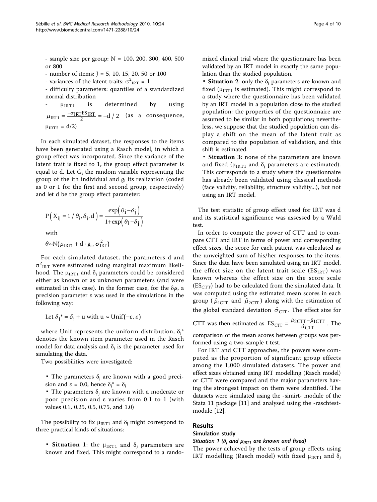- sample size per group:  $N = 100, 200, 300, 400, 500$ or 800

- number of items: J = 5, 10, 15, 20, 50 or 100
- variances of the latent traits:  $\sigma^2_{IRT} = 1$
- difficulty parameters: quantiles of a standardized normal distribution
- $\mu_{\text{IRT1}}$  is determined by using  $\mu_{\text{IRT1}} = \frac{-\sigma_{\text{IRT}} \text{ES_{IRT}}}{2} = -d / 2$  (as a consequence,  $\mu_{IRT2} = d/2$

In each simulated dataset, the responses to the items have been generated using a Rasch model, in which a group effect was incorporated. Since the variance of the latent trait is fixed to 1, the group effect parameter is equal to d. Let  $G_i$  the random variable representing the group of the ith individual and gi its realization (coded as 0 or 1 for the first and second group, respectively) and let d be the group effect parameter:

$$
P(X_{ij} = 1 / \theta_i, \delta_j, d) = \frac{\exp(\theta_i - \delta_j)}{1 + \exp(\theta_i - \delta_j)}
$$

with

$$
\theta \sim N(\mu_{\text{IRT1}} + d \cdot g_i, \sigma_{\text{IRT}}^2)
$$

For each simulated dataset, the parameters d and  $\sigma^2_{\phantom{2}\, \mathrm{IRT}}$  were estimated using marginal maximum likelihood. The  $\mu_{\text{IRT1}}$  and  $\delta_i$  parameters could be considered either as known or as unknown parameters (and were estimated in this case). In the former case, for the  $\delta_i$ s, a precision parameter ε was used in the simulations in the following way:

Let 
$$
\delta_j^* = \delta_j + u
$$
 with  $u \sim \text{Unif}(-\varepsilon, \varepsilon)$ 

where Unif represents the uniform distribution,  $\delta_i^*$ denotes the known item parameter used in the Rasch model for data analysis and  $\delta_i$  is the parameter used for simulating the data.

Two possibilities were investigated:

**•** The parameters  $\delta_i$  are known with a good precision and  $\epsilon = 0.0$ , hence  $\delta_j^* = \delta_j$ 

**• The parameters**  $\delta_i$  **are known with a moderate or** poor precision and ε varies from 0.1 to 1 (with values 0.1, 0.25, 0.5, 0.75, and 1.0)

The possibility to fix  $\mu_{\text{IRT1}}$  and  $\delta_i$  might correspond to three practical kinds of situations:

**• Situation 1:** the  $\mu_{\text{IRT1}}$  and  $\delta_i$  parameters are known and fixed. This might correspond to a randomized clinical trial where the questionnaire has been validated by an IRT model in exactly the same population than the studied population.

**• Situation 2:** only the  $\delta_i$  parameters are known and fixed ( $\mu_{\text{IRT1}}$  is estimated). This might correspond to a study where the questionnaire has been validated by an IRT model in a population close to the studied population: the properties of the questionnaire are assumed to be similar in both populations; nevertheless, we suppose that the studied population can display a shift on the mean of the latent trait as compared to the population of validation, and this shift is estimated.

▪ Situation 3: none of the parameters are known and fixed ( $\mu_{\text{IRT1}}$  and  $\delta_i$  parameters are estimated). This corresponds to a study where the questionnaire has already been validated using classical methods (face validity, reliability, structure validity...), but not using an IRT model.

The test statistic of group effect used for IRT was d and its statistical significance was assessed by a Wald test.

In order to compute the power of CTT and to compare CTT and IRT in terms of power and corresponding effect sizes, the score for each patient was calculated as the unweighted sum of his/her responses to the items. Since the data have been simulated using an IRT model, the effect size on the latent trait scale ( $ES_{IRT}$ ) was known whereas the effect size on the score scale  $(ES<sub>CTT</sub>)$  had to be calculated from the simulated data. It was computed using the estimated mean scores in each group ( $\hat{\mu}_{1\text{CTT}}$  and  $\hat{\mu}_{2\text{CTT}}$ ) along with the estimation of the global standard deviation  $\hat{\sigma}_{\text{CTT}}$ . The effect size for

CTT was then estimated as  $ES_{\text{CIT}} = \frac{\hat{\mu}_2 \text{CTT} - \hat{\mu}_1 \text{CTT}}{\hat{\sigma}_{\text{CIT}}}$  $\frac{2 \text{CTT}-\mu_1 \text{CTT}}{\hat{\sigma} \text{CTT}}$  . The comparison of the mean scores between groups was performed using a two-sample t test.

For IRT and CTT approaches, the powers were computed as the proportion of significant group effects among the 1,000 simulated datasets. The power and effect sizes obtained using IRT modelling (Rasch model) or CTT were compared and the major parameters having the strongest impact on them were identified. The datasets were simulated using the -simirt- module of the Stata 11 package [[11\]](#page-9-0) and analysed using the -raschtestmodule [[12](#page-9-0)].

## Results

#### Simulation study

## Situation 1 ( $\delta_i$  and  $\mu_{IRT1}$  are known and fixed)

The power achieved by the tests of group effects using IRT modelling (Rasch model) with fixed  $\mu_{\text{IRT1}}$  and  $\delta_i$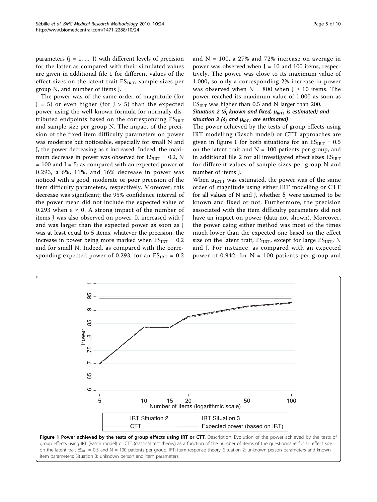parameters  $(j = 1, ..., J)$  with different levels of precision for the latter as compared with their simulated values are given in additional file [1](#page-8-0) for different values of the effect sizes on the latent trait  $ES_{IRT}$ , sample sizes per group N, and number of items J.

The power was of the same order of magnitude (for  $J = 5$ ) or even higher (for  $J > 5$ ) than the expected power using the well-known formula for normally distributed endpoints based on the corresponding  $ES_{IRT}$ and sample size per group N. The impact of the precision of the fixed item difficulty parameters on power was moderate but noticeable, especially for small N and J, the power decreasing as ε increased. Indeed, the maximum decrease in power was observed for  $ES_{IRT} = 0.2$ , N  $= 100$  and J  $= 5$ : as compared with an expected power of 0.293, a 6%, 11%, and 16% decrease in power was noticed with a good, moderate or poor precision of the item difficulty parameters, respectively. Moreover, this decrease was significant; the 95% confidence interval of the power mean did not include the expected value of 0.293 when  $\epsilon \neq 0$ . A strong impact of the number of items J was also observed on power. It increased with J and was larger than the expected power as soon as J was at least equal to 5 items, whatever the precision, the increase in power being more marked when  $ES_{IRT} = 0.2$ and for small N. Indeed, as compared with the corresponding expected power of 0.293, for an  $ES_{IRT} = 0.2$  and  $N = 100$ , a 27% and 72% increase on average in power was observed when  $J = 10$  and 100 items, respectively. The power was close to its maximum value of 1.000, so only a corresponding 2% increase in power was observed when  $N = 800$  when  $J \ge 10$  items. The power reached its maximum value of 1.000 as soon as  $ES<sub>IRT</sub>$  was higher than 0.5 and N larger than 200.

## Situation 2 ( $\delta_i$  known and fixed,  $\mu_{IRT1}$  is estimated) and situation 3 ( $\delta_j$  and  $\mu_{IRT1}$  are estimated)

The power achieved by the tests of group effects using IRT modelling (Rasch model) or CTT approaches are given in figure 1 for both situations for an  $ES_{IRT} = 0.5$ on the latent trait and  $N = 100$  patients per group, and in additional file [2](#page-8-0) for all investigated effect sizes  $ES_{IRT}$ for different values of sample sizes per group N and number of items J.

When  $\mu_{\text{IRT1}}$  was estimated, the power was of the same order of magnitude using either IRT modelling or CTT for all values of N and J, whether  $\delta_i$  were assumed to be known and fixed or not. Furthermore, the precision associated with the item difficulty parameters did not have an impact on power (data not shown). Moreover, the power using either method was most of the times much lower than the expected one based on the effect size on the latent trait,  $ES_{IRT}$ , except for large  $ES_{IRT}$ , N and J. For instance, as compared with an expected power of 0.942, for  $N = 100$  patients per group and

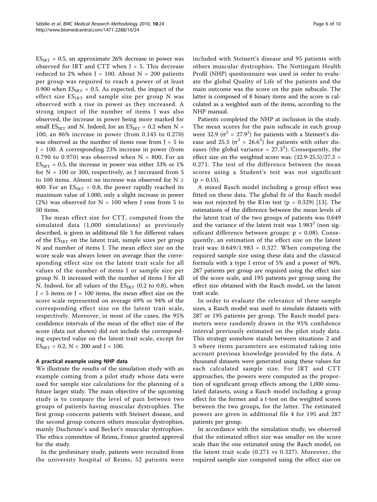$ES<sub>IRT</sub> = 0.5$ , an approximate 26% decrease in power was observed for IRT and CTT when  $J = 5$ . This decrease reduced to 2% when J = 100. About  $N = 200$  patients per group was required to reach a power of at least 0.900 when  $ES_{IRT} = 0.5$ . As expected, the impact of the effect size  $ES_{IRT}$  and sample size per group N was observed with a rise in power as they increased. A strong impact of the number of items J was also observed, the increase in power being more marked for small  $ES_{IRT}$  and N. Indeed, for an  $ES_{IRT} = 0.2$  when N = 100, an 86% increase in power (from 0.145 to 0.270) was observed as the number of items rose from J = 5 to J = 100. A corresponding 23% increase in power (from 0.790 to 0.970) was observed when  $N = 800$ . For an  $ES_{IRT} = 0.5$ , the increase in power was either 33% or 1% for  $N = 100$  or 300, respectively, as J increased from 5 to 100 items. Almost no increase was observed for  $N \geq$ 400. For an  $ES_{IRT} = 0.8$ , the power rapidly reached its maximum value of 1.000, only a slight increase in power (2%) was observed for  $N = 100$  when J rose from 5 to 50 items.

The mean effect size for CTT, computed from the simulated data (1,000 simulations) as previously described, is given in additional file [3](#page-8-0) for different values of the  $ES_{IRT}$  on the latent trait, sample sizes per group N and number of items J. The mean effect size on the score scale was always lower on average than the corresponding effect size on the latent trait scale for all values of the number of items J or sample size per group N. It increased with the number of items J for all N. Indeed, for all values of the  $ES_{IRT}$  (0.2 to 0.8), when  $J = 5$  items or  $J = 100$  items, the mean effect size on the score scale represented on average 69% or 94% of the corresponding effect size on the latent trait scale, respectively. Moreover, in most of the cases, the 95% confidence intervals of the mean of the effect size of the score (data not shown) did not include the corresponding expected value on the latent trait scale, except for  $ES_{IRT} = 0.2$ ,  $N < 200$  and  $J = 100$ .

## A practical example using NHP data

We illustrate the results of the simulation study with an example coming from a pilot study whose data were used for sample size calculations for the planning of a future larger study. The main objective of the upcoming study is to compare the level of pain between two groups of patients having muscular dystrophies. The first group concerns patients with Steinert disease, and the second group concern others muscular dystrophies, mainly Duchenne's and Becker's muscular dystrophies. The ethics committee of Reims, France granted approval for the study.

In the preliminary study, patients were recruited from the university hospital of Reims, 52 patients were included with Steinert's disease and 95 patients with others muscular dystrophies. The Nottingam Health Profil (NHP) questionnaire was used in order to evaluate the global Quality of Life of the patients and the main outcome was the score on the pain subscale. The latter is composed of 8 binary items and the score is calculated as a weighted sum of the items, according to the NHP manual.

Patients completed the NHP at inclusion in the study. The mean scores for the pain subscale in each group were 32.9 ( $\sigma^2 = 27.9^2$ ) for patients with a Steinert's disease and 25.5 ( $\sigma^2 = 26.6^2$ ) for patients with other diseases (the global variance =  $27.3^2$ ). Consequently, the effect size on the weighted score was:  $(32.9-25.5)/27.3$  = 0.271. The test of the difference between the mean scores using a Student's test was not significant  $(p = 0.15)$ .

A mixed Rasch model including a group effect was fitted on these data. The global fit of the Rasch model was not rejected by the R1m test ( $p = 0.329$ ) [[13](#page-9-0)]. The estimations of the difference between the mean levels of the latent trait of the two groups of patients was 0.649 and the variance of the latent trait was  $1.983<sup>2</sup>$  (non significant difference between groups:  $p = 0.08$ ). Consequently, an estimation of the effect size on the latent trait was:  $0.649/1.983 = 0.327$ . When computing the required sample size using these data and the classical formula with a type I error of 5% and a power of 90%, 287 patients per group are required using the effect size of the score scale, and 195 patients per group using the effect size obtained with the Rasch model, on the latent trait scale.

In order to evaluate the relevance of these sample sizes, a Rasch model was used to simulate datasets with 287 or 195 patients per group. The Rasch model parameters were randomly drawn in the 95% confidence interval previously estimated on the pilot study data. This strategy somehow stands between situations 2 and 3 where items parameters are estimated taking into account previous knowledge provided by the data. A thousand datasets were generated using these values for each calculated sample size. For IRT and CTT approaches, the powers were computed as the proportion of significant group effects among the 1,000 simulated datasets, using a Rasch model including a group effect for the former and a t-test on the weighted scores between the two groups, for the latter. The estimated powers are given in additional file [4](#page-8-0) for 195 and 287 patients per group.

In accordance with the simulation study, we observed that the estimated effect size was smaller on the score scale than the one estimated using the Rasch model, on the latent trait scale (0.271 vs 0.327). Moreover, the required sample size computed using the effect size on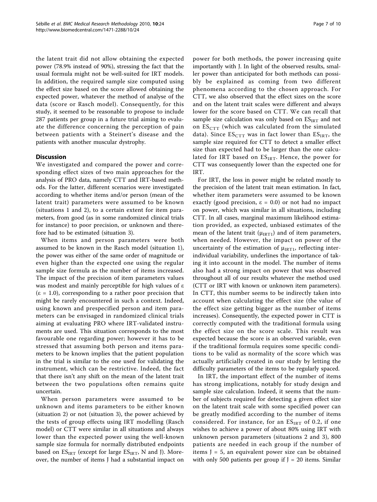the latent trait did not allow obtaining the expected power (78.9% instead of 90%), stressing the fact that the usual formula might not be well-suited for IRT models. In addition, the required sample size computed using the effect size based on the score allowed obtaining the expected power, whatever the method of analyse of the data (score or Rasch model). Consequently, for this study, it seemed to be reasonable to propose to include 287 patients per group in a future trial aiming to evaluate the difference concerning the perception of pain between patients with a Steinert's disease and the patients with another muscular dystrophy.

## **Discussion**

We investigated and compared the power and corresponding effect sizes of two main approaches for the analysis of PRO data, namely CTT and IRT-based methods. For the latter, different scenarios were investigated according to whether items and/or person (mean of the latent trait) parameters were assumed to be known (situations 1 and 2), to a certain extent for item parameters, from good (as in some randomized clinical trials for instance) to poor precision, or unknown and therefore had to be estimated (situation 3).

When items and person parameters were both assumed to be known in the Rasch model (situation 1), the power was either of the same order of magnitude or even higher than the expected one using the regular sample size formula as the number of items increased. The impact of the precision of item parameters values was modest and mainly perceptible for high values of ε  $(\epsilon = 1.0)$ , corresponding to a rather poor precision that might be rarely encountered in such a context. Indeed, using known and prespecified person and item parameters can be envisaged in randomized clinical trials aiming at evaluating PRO where IRT-validated instruments are used. This situation corresponds to the most favourable one regarding power; however it has to be stressed that assuming both person and items parameters to be known implies that the patient population in the trial is similar to the one used for validating the instrument, which can be restrictive. Indeed, the fact that there isn't any shift on the mean of the latent trait between the two populations often remains quite uncertain.

When person parameters were assumed to be unknown and items parameters to be either known (situation 2) or not (situation 3), the power achieved by the tests of group effects using IRT modelling (Rasch model) or CTT were similar in all situations and always lower than the expected power using the well-known sample size formula for normally distributed endpoints based on  $ES_{IRT}$  (except for large  $ES_{IRT}$ , N and J). Moreover, the number of items J had a substantial impact on power for both methods, the power increasing quite importantly with J. In light of the observed results, smaller power than anticipated for both methods can possibly be explained as coming from two different phenomena according to the chosen approach. For CTT, we also observed that the effect sizes on the score and on the latent trait scales were different and always lower for the score based on CTT. We can recall that sample size calculation was only based on  $ES_{IRT}$  and not on  $ES_{CTT}$  (which was calculated from the simulated data). Since  $ES_{CTT}$  was in fact lower than  $ES_{IRT}$ , the sample size required for CTT to detect a smaller effect size than expected had to be larger than the one calculated for IRT based on  $ES_{IRT}$ . Hence, the power for CTT was consequently lower than the expected one for IRT.

For IRT, the loss in power might be related mostly to the precision of the latent trait mean estimation. In fact, whether item parameters were assumed to be known exactly (good precision,  $\varepsilon = 0.0$ ) or not had no impact on power, which was similar in all situations, including CTT. In all cases, marginal maximum likelihood estimation provided, as expected, unbiased estimates of the mean of the latent trait ( $\mu_{\text{IRT1}}$ ) and of item parameters, when needed. However, the impact on power of the uncertainty of the estimation of  $\mu_{\text{IRT1}}$ , reflecting interindividual variability, underlines the importance of taking it into account in the model. The number of items also had a strong impact on power that was observed throughout all of our results whatever the method used (CTT or IRT with known or unknown item parameters). In CTT, this number seems to be indirectly taken into account when calculating the effect size (the value of the effect size getting bigger as the number of items increases). Consequently, the expected power in CTT is correctly computed with the traditional formula using the effect size on the score scale. This result was expected because the score is an observed variable, even if the traditional formula requires some specific conditions to be valid as normality of the score which was actually artificially created in our study by letting the difficulty parameters of the items to be regularly spaced.

In IRT, the important effect of the number of items has strong implications, notably for study design and sample size calculation. Indeed, it seems that the number of subjects required for detecting a given effect size on the latent trait scale with some specified power can be greatly modified according to the number of items considered. For instance, for an  $ES_{IRT}$  of 0.2, if one wishes to achieve a power of about 80% using IRT with unknown person parameters (situations 2 and 3), 800 patients are needed in each group if the number of items  $J = 5$ , an equivalent power size can be obtained with only 500 patients per group if  $J = 20$  items. Similar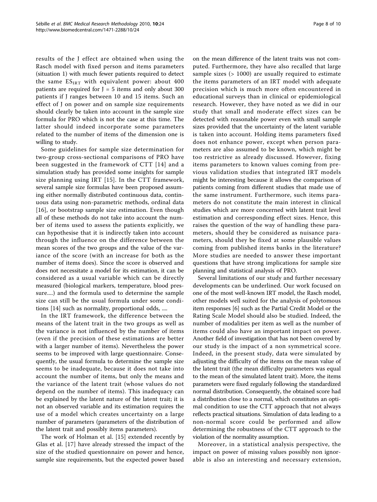results of the J effect are obtained when using the Rasch model with fixed person and items parameters (situation 1) with much fewer patients required to detect the same  $ES_{IRT}$  with equivalent power: about 400 patients are required for  $J = 5$  items and only about 300 patients if J ranges between 10 and 15 items. Such an effect of J on power and on sample size requirements should clearly be taken into account in the sample size formula for PRO which is not the case at this time. The latter should indeed incorporate some parameters related to the number of items of the dimension one is willing to study.

Some guidelines for sample size determination for two-group cross-sectional comparisons of PRO have been suggested in the framework of CTT [[14](#page-9-0)] and a simulation study has provided some insights for sample size planning using IRT [[15](#page-9-0)]. In the CTT framework, several sample size formulas have been proposed assuming either normally distributed continuous data, continuous data using non-parametric methods, ordinal data [[16](#page-9-0)], or bootstrap sample size estimation. Even though all of these methods do not take into account the number of items used to assess the patients explicitly, we can hypothesise that it is indirectly taken into account through the influence on the difference between the mean scores of the two groups and the value of the variance of the score (with an increase for both as the number of items does). Since the score is observed and does not necessitate a model for its estimation, it can be considered as a usual variable which can be directly measured (biological markers, temperature, blood pressure....) and the formula used to determine the sample size can still be the usual formula under some conditions [\[14\]](#page-9-0) such as normality, proportional odds, ....

In the IRT framework, the difference between the means of the latent trait in the two groups as well as the variance is not influenced by the number of items (even if the precision of these estimations are better with a larger number of items). Nevertheless the power seems to be improved with large questionnaire. Consequently, the usual formula to determine the sample size seems to be inadequate, because it does not take into account the number of items, but only the means and the variance of the latent trait (whose values do not depend on the number of items). This inadequacy can be explained by the latent nature of the latent trait; it is not an observed variable and its estimation requires the use of a model which creates uncertainty on a large number of parameters (parameters of the distribution of the latent trait and possibly items parameters).

The work of Holman et al. [[15\]](#page-9-0) extended recently by Glas et al. [\[17\]](#page-9-0) have already stressed the impact of the size of the studied questionnaire on power and hence, sample size requirements, but the expected power based

on the mean difference of the latent traits was not computed. Furthermore, they have also recalled that large sample sizes (> 1000) are usually required to estimate the items parameters of an IRT model with adequate precision which is much more often encountered in educational surveys than in clinical or epidemiological research. However, they have noted as we did in our study that small and moderate effect sizes can be detected with reasonable power even with small sample sizes provided that the uncertainty of the latent variable is taken into account. Holding items parameters fixed does not enhance power, except when person parameters are also assumed to be known, which might be too restrictive as already discussed. However, fixing items parameters to known values coming from previous validation studies that integrated IRT models might be interesting because it allows the comparison of patients coming from different studies that made use of the same instrument. Furthermore, such items parameters do not constitute the main interest in clinical studies which are more concerned with latent trait level estimation and corresponding effect sizes. Hence, this raises the question of the way of handling these parameters, should they be considered as nuisance parameters, should they be fixed at some plausible values coming from published items banks in the literature? More studies are needed to answer these important questions that have strong implications for sample size planning and statistical analysis of PRO.

Several limitations of our study and further necessary developments can be underlined. Our work focused on one of the most well-known IRT model, the Rasch model, other models well suited for the analysis of polytomous item responses [\[6](#page-9-0)] such as the Partial Credit Model or the Rating Scale Model should also be studied. Indeed, the number of modalities per item as well as the number of items could also have an important impact on power. Another field of investigation that has not been covered by our study is the impact of a non symmetrical score. Indeed, in the present study, data were simulated by adjusting the difficulty of the items on the mean value of the latent trait (the mean difficulty parameters was equal to the mean of the simulated latent trait). More, the items parameters were fixed regularly following the standardized normal distribution. Consequently, the obtained score had a distribution close to a normal, which constitutes an optimal condition to use the CTT approach that not always reflects practical situations. Simulation of data leading to a non-normal score could be performed and allow determining the robustness of the CTT approach to the violation of the normality assumption.

Moreover, in a statistical analysis perspective, the impact on power of missing values possibly non ignorable is also an interesting and necessary extension,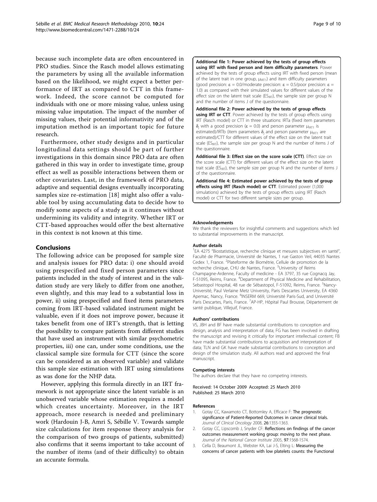<span id="page-8-0"></span>because such incomplete data are often encountered in PRO studies. Since the Rasch model allows estimating the parameters by using all the available information based on the likelihood, we might expect a better performance of IRT as compared to CTT in this framework. Indeed, the score cannot be computed for individuals with one or more missing value, unless using missing value imputation. The impact of the number of missing values, their potential informativity and of the imputation method is an important topic for future research.

Furthermore, other study designs and in particular longitudinal data settings should be part of further investigations in this domain since PRO data are often gathered in this way in order to investigate time, group effect as well as possible interactions between them or other covariates. Last, in the framework of PRO data, adaptive and sequential designs eventually incorporating samples size re-estimation [\[18](#page-9-0)] might also offer a valuable tool by using accumulating data to decide how to modify some aspects of a study as it continues without undermining its validity and integrity. Whether IRT or CTT-based approaches would offer the best alternative in this context is not known at this time.

## Conclusions

The following advice can be proposed for sample size and analysis issues for PRO data: i) one should avoid using prespecified and fixed person parameters since patients included in the study of interest and in the validation study are very likely to differ from one another, even slightly, and this may lead to a substantial loss in power, ii) using prespecified and fixed items parameters coming from IRT-based validated instrument might be valuable, even if it does not improve power, because it takes benefit from one of IRT's strength, that is letting the possibility to compare patients from different studies that have used an instrument with similar psychometric properties, iii) one can, under some conditions, use the classical sample size formula for CTT (since the score can be considered as an observed variable) and validate this sample size estimation with IRT using simulations as was done for the NHP data.

However, applying this formula directly in an IRT framework is not appropriate since the latent variable is an unobserved variable whose estimation requires a model which creates uncertainty. Moreover, in the IRT approach, more research is needed and preliminary work (Hardouin J-B, Amri S, Sébille V. Towards sample size calculations for item response theory analysis for the comparison of two groups of patients, submitted) also confirms that it seems important to take account of the number of items (and of their difficulty) to obtain an accurate formula.

[Additional file 1: P](http://www.biomedcentral.com/content/supplementary/1471-2288-10-24-S1.DOC)ower achieved by the tests of group effects using IRT with fixed person and item difficulty parameters. Power achieved by the tests of group effects using IRT with fixed person (mean of the latent trait in one group,  $\mu_{\text{IRT1}}$ ) and item difficulty parameters (good precision:  $\varepsilon = 0.0$ /moderate precision:  $\varepsilon = 0.5$ /poor precision:  $\varepsilon =$ 1.0) as compared with their simulated values for different values of the effect size on the latent trait scale ( $ES_{\text{IRT}}$ ), the sample size per group N and the number of items J of the questionnaire.

[Additional file 2: P](http://www.biomedcentral.com/content/supplementary/1471-2288-10-24-S2.DOC)ower achieved by the tests of group effects using IRT or CTT. Power achieved by the tests of group effects using IRT (Rasch model) or CTT in three situations: IRTa (fixed item parameters δ<sub>i</sub> with a good precision (ε = 0.0) and person parameter  $μ_{IRT1}$  is estimated)/IRTb (item parameters  $\delta_i$  and person parameter  $\mu_{\text{IRT1}}$  are estimated)/CTT for different values of the effect size on the latent trait scale ( $ES_{IRT}$ ), the sample size per group N and the number of items J of the questionnaire.

[Additional file 3: E](http://www.biomedcentral.com/content/supplementary/1471-2288-10-24-S3.DOC)ffect size on the score scale (CTT). Effect size on the score scale (CTT) for different values of the effect size on the latent trait scale ( $ES_{IRT}$ ), the sample size per group N and the number of items J of the questionnaire.

[Additional file 4: E](http://www.biomedcentral.com/content/supplementary/1471-2288-10-24-S4.DOC)stimated power achieved by the tests of group effects using IRT (Rasch model) or CTT. Estimated power (1,000 simulations) achieved by the tests of group effects using IRT (Rasch model) or CTT for two different sample sizes per group.

#### Acknowledgements

We thank the reviewers for insightful comments and suggestions which led to substantial improvements in the manuscript.

#### Author details

<sup>1</sup>EA 4275 "Biostatistique, recherche clinique et mesures subjectives en santé", Faculté de Pharmacie, Université de Nantes, 1 rue Gaston Veil, 44035 Nantes Cedex 1, France. <sup>2</sup>Plateforme de Biométrie, Cellule de promotion de la recherche clinique, CHU de Nantes, France. <sup>3</sup>University of Reims Champagne-Ardenne, Faculty of medicine - EA 3797, 35 rue Cognacq Jay, F-51095, Reims, France. <sup>4</sup>Department of Physical Medicine and Rehabilitation Sebastopol Hospital, 48 rue de Sébastopol, F-51092, Reims, France. <sup>5</sup>Nancy-Université, Paul Verlaine Metz University, Paris Descartes University, EA 4360 Apemac, Nancy, France. <sup>6</sup>INSERM 669, Université Paris-Sud, and Université Paris Descartes, Paris, France. <sup>7</sup>AP-HP, Hôpital Paul Brousse, Département de santé publique, Villejuif, France.

#### Authors' contributions

VS, JBH and BF have made substantial contributions to conception and design, analysis and interpretation of data; FG has been involved in drafting the manuscript and revising it critically for important intellectual content; FB have made substantial contributions to acquisition and interpretation of data; TLN and GK have made substantial contributions to conception and design of the simulation study. All authors read and approved the final manuscript.

#### Competing interests

The authors declare that they have no competing interests.

Received: 14 October 2009 Accepted: 25 March 2010 Published: 25 March 2010

#### References

- 1. Gotay CC, Kawamoto CT, Bottomley A, Efficace F: [The prognostic](http://www.ncbi.nlm.nih.gov/pubmed/18227528?dopt=Abstract) [significance of Patient-Reported Outcomes in cancer clinical trials.](http://www.ncbi.nlm.nih.gov/pubmed/18227528?dopt=Abstract) Journal of Clinical Oncology 2008, 26:1355-1363.
- 2. Gotay CC, Lipscomb J, Snyder CF: [Reflections on findings of the cancer](http://www.ncbi.nlm.nih.gov/pubmed/16264176?dopt=Abstract) [outcomes measurement working group: moving to the next phase.](http://www.ncbi.nlm.nih.gov/pubmed/16264176?dopt=Abstract) Journal of the National Cancer Institute 2005, 97:1568-1574.
- 3. Cella D, Beaumont JL, Webster KA, Lai J-S, Elting L: [Measuring the](http://www.ncbi.nlm.nih.gov/pubmed/16944221?dopt=Abstract) [concerns of cancer patients with low platelets counts: the Functional](http://www.ncbi.nlm.nih.gov/pubmed/16944221?dopt=Abstract)